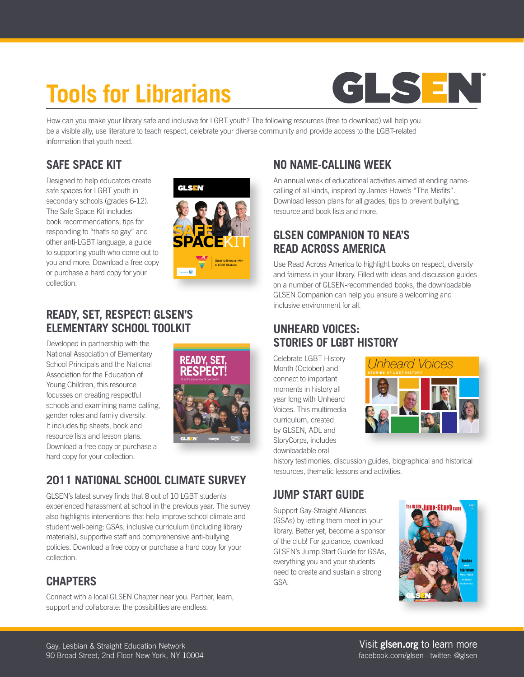# **Tools for Librarians**



How can you make your library safe and inclusive for LGBT youth? The following resources (free to download) will help you be a visible ally, use literature to teach respect, celebrate your diverse community and provide access to the LGBT-related information that youth need.

#### **[SAFE SPACE KIT](http://www.glsen.org/safespace)**

Designed to help educators create safe spaces for LGBT youth in secondary schools (grades 6-12). The Safe Space Kit includes book recommendations, tips for responding to "that's so gay" and other anti-LGBT language, a guide to supporting youth who come out to you and more. Download a free copy or purchase a hard copy for your collection.



### **[READY, SET, RESPECT! GLSEN'S](http://www.glsen.org/readysetrespect)  ELEMENTARY SCHOOL TOOLKIT**

Developed in partnership with the National Association of Elementary School Principals and the National Association for the Education of Young Children, this resource focusses on creating respectful schools and examining name-calling, gender roles and family diversity. It includes tip sheets, book and resource lists and lesson plans. Download a free copy or purchase a hard copy for your collection.



# **[2011 NATIONAL SCHOOL CLIMATE SURVEY](http://www.glsen.org/nscs)**

GLSEN's latest survey finds that 8 out of 10 LGBT students experienced harassment at school in the previous year. The survey also highlights interventions that help improve school climate and student well-being: GSAs, inclusive curriculum (including library materials), supportive staff and comprehensive anti-bullying policies. Download a free copy or purchase a hard copy for your collection.

# **[CHAPTERS](http://www.glsen.org/chapters)**

Connect with a local GLSEN Chapter near you. Partner, learn, support and collaborate: the possibilities are endless.

# **[NO NAME-CALLING WEEK](http://www.glsen.org/participate/programs/no-name-calling-week)**

**NO NAME-CALLING WEEK**<br>An annual week of educational activities aimed at ending namecalling of all kinds, inspired by James Howe's "The Misfits". Download lesson plans for all grades, tips to prevent bullying, resource and book lists and more.

## **[GLSEN COMPANION TO NEA'S](http://www.glsen.org/article/celebrate-neas-read-across-america-lessons-grades-k-5) READ ACROSS AMERICA**

Use Read Across America to highlight books on respect, diversity and fairness in your library. Filled with ideas and discussion guides on a number of GLSEN-recommended books, the downloadable GLSEN Companion can help you ensure a welcoming and inclusive environment for all. diversity Available for free, *Unheard Voices* is a

### **UNHEARD VOICES: [STORIES OF LGBT HISTORY](http://www.glsen.org/unheardvoices.html)**

Celebrate LGBT History Month (October) and connect to important moments in history all year long with Unheard Voices. This multimedia curriculum, created by GLSEN, ADL and StoryCorps, includes downloadable oral



history testimonies, discussion guides, biographical and historical resources, thematic lessons and activities.

### **[JUMP START GUIDE](http://www.glsen.org/jumpstart)**

Support Gay-Straight Alliances (GSAs) by letting them meet in your library. Better yet, become a sponsor of the club! For guidance, download GLSEN's Jump Start Guide for GSAs, everything you and your students need to create and sustain a strong GSA.